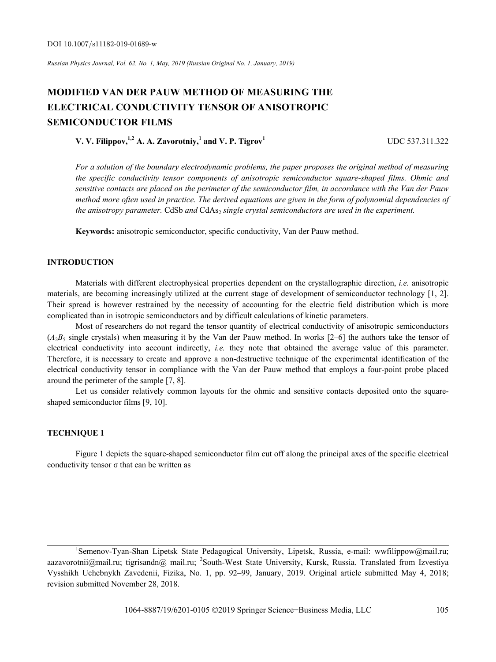# **MODIFIED VAN DER PAUW METHOD OF MEASURING THE ELECTRICAL CONDUCTIVITY TENSOR OF ANISOTROPIC SEMICONDUCTOR FILMS**

**V. V. Filippov,**<sup>1,2</sup> A. A. Zavorotniy,<sup>1</sup> and V. P. Tigrov<sup>1</sup> UDC 537.311.322

*For a solution of the boundary electrodynamic problems, the paper proposes the original method of measuring the specific conductivity tensor components of anisotropic semiconductor square-shaped films. Ohmic and sensitive contacts are placed on the perimeter of the semiconductor film, in accordance with the Van der Pauw method more often used in practice. The derived equations are given in the form of polynomial dependencies of the anisotropy parameter.* CdSb and CdAs<sub>2</sub> single crystal semiconductors are used in the experiment.

**Keywords:** anisotropic semiconductor, specific conductivity, Van der Pauw method.

## **INTRODUCTION**

Materials with different electrophysical properties dependent on the crystallographic direction, *i.e.* anisotropic materials, are becoming increasingly utilized at the current stage of development of semiconductor technology [1, 2]. Their spread is however restrained by the necessity of accounting for the electric field distribution which is more complicated than in isotropic semiconductors and by difficult calculations of kinetic parameters.

Most of researchers do not regard the tensor quantity of electrical conductivity of anisotropic semiconductors  $(A<sub>2</sub>B<sub>5</sub>$  single crystals) when measuring it by the Van der Pauw method. In works [2–6] the authors take the tensor of electrical conductivity into account indirectly, *i.e.* they note that obtained the average value of this parameter. Therefore, it is necessary to create and approve a non-destructive technique of the experimental identification of the electrical conductivity tensor in compliance with the Van der Pauw method that employs a four-point probe placed around the perimeter of the sample [7, 8].

Let us consider relatively common layouts for the ohmic and sensitive contacts deposited onto the squareshaped semiconductor films [9, 10].

# **TECHNIQUE 1**

Figure 1 depicts the square-shaped semiconductor film cut off along the principal axes of the specific electrical conductivity tensor  $\sigma$  that can be written as

<sup>&</sup>lt;sup>1</sup>Semenov-Tyan-Shan Lipetsk State Pedagogical University, Lipetsk, Russia, e-mail: wwfilippow@mail.ru; aazavorotnii@mail.ru; tigrisandn@ mail.ru; <sup>2</sup>South-West State University, Kursk, Russia. Translated from Izvestiya Vysshikh Uchebnykh Zavedenii, Fizika, No. 1, pp. 92–99, January, 2019. Original article submitted May 4, 2018; revision submitted November 28, 2018.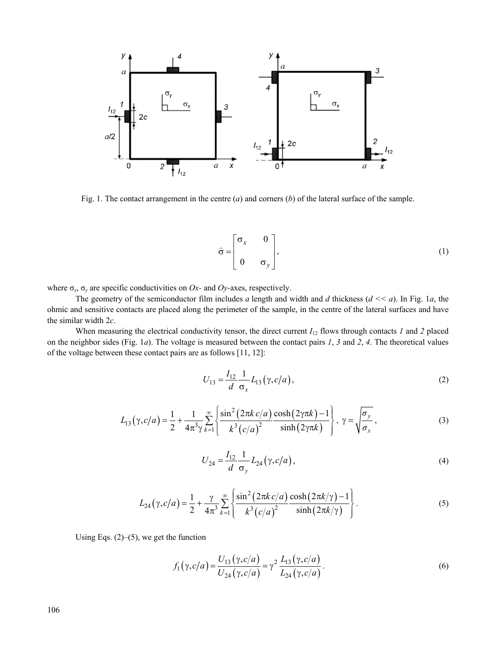

Fig. 1. The contact arrangement in the centre (*a*) and corners (*b*) of the lateral surface of the sample.

$$
\hat{\sigma} = \begin{bmatrix} \sigma_x & 0 \\ 0 & \sigma_y \end{bmatrix},
$$
 (1)

where  $\sigma_x$ ,  $\sigma_y$  are specific conductivities on *Ox*- and *Oy*-axes, respectively.

The geometry of the semiconductor film includes *a* length and width and *d* thickness (*d << a*). In Fig. 1*а*, the ohmic and sensitive contacts are placed along the perimeter of the sample, in the centre of the lateral surfaces and have the similar width 2*c*.

When measuring the electrical conductivity tensor, the direct current  $I_{12}$  flows through contacts *1* and *2* placed on the neighbor sides (Fig. 1*а*). The voltage is measured between the contact pairs *1*, *3* and *2*, *4*. The theoretical values of the voltage between these contact pairs are as follows [11, 12]:

$$
U_{13} = \frac{I_{12}}{d} \frac{1}{\sigma_x} L_{13}(\gamma, c/a),
$$
 (2)

$$
L_{13}(\gamma, c/a) = \frac{1}{2} + \frac{1}{4\pi^3 \gamma} \sum_{k=1}^{\infty} \left\{ \frac{\sin^2(2\pi k c/a)}{k^3 (c/a)^2} \frac{\cosh(2\gamma \pi k) - 1}{\sinh(2\gamma \pi k)} \right\}, \ \gamma = \sqrt{\frac{\sigma_y}{\sigma_x}}, \tag{3}
$$

$$
U_{24} = \frac{I_{12}}{d} \frac{1}{\sigma_y} L_{24} (\gamma, c/a), \qquad (4)
$$

$$
L_{24}(\gamma, c/a) = \frac{1}{2} + \frac{\gamma}{4\pi^3} \sum_{k=1}^{\infty} \left\{ \frac{\sin^2(2\pi k c/a)}{k^3 (c/a)^2} \frac{\cosh(2\pi k/\gamma) - 1}{\sinh(2\pi k/\gamma)} \right\}.
$$
 (5)

Using Eqs. (2)–(5), we get the function

$$
f_1(\gamma, c/a) = \frac{U_{13}(\gamma, c/a)}{U_{24}(\gamma, c/a)} = \gamma^2 \frac{L_{13}(\gamma, c/a)}{L_{24}(\gamma, c/a)}.
$$
 (6)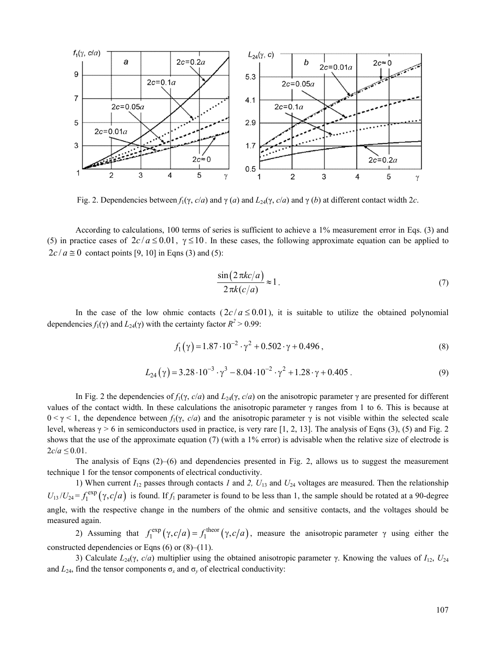

Fig. 2. Dependencies between  $f_1(\gamma, c/a)$  and  $\gamma(a)$  and  $L_{24}(\gamma, c/a)$  and  $\gamma(b)$  at different contact width 2*c*.

According to calculations, 100 terms of series is sufficient to achieve a 1% measurement error in Eqs. (3) and (5) in practice cases of  $2c/a \le 0.01$ ,  $\gamma \le 10$ . In these cases, the following approximate equation can be applied to  $2c/a \approx 0$  contact points [9, 10] in Eqns (3) and (5):

$$
\frac{\sin(2\pi kc/a)}{2\pi k(c/a)} \approx 1.
$$
 (7)

In the case of the low ohmic contacts  $(2c/a \le 0.01)$ , it is suitable to utilize the obtained polynomial dependencies  $f_1(\gamma)$  and  $L_{24}(\gamma)$  with the certainty factor  $R^2 > 0.99$ :

$$
f_1(\gamma) = 1.87 \cdot 10^{-2} \cdot \gamma^2 + 0.502 \cdot \gamma + 0.496 ,\qquad(8)
$$

$$
L_{24}(\gamma) = 3.28 \cdot 10^{-3} \cdot \gamma^3 - 8.04 \cdot 10^{-2} \cdot \gamma^2 + 1.28 \cdot \gamma + 0.405
$$
 (9)

In Fig. 2 the dependencies of  $f_1(y, c/a)$  and  $L_2(γ, c/a)$  on the anisotropic parameter γ are presented for different values of the contact width. In these calculations the anisotropic parameter  $\gamma$  ranges from 1 to 6. This is because at  $0 \le \gamma \le 1$ , the dependence between  $f_1(\gamma, c/a)$  and the anisotropic parameter  $\gamma$  is not visible within the selected scale level, whereas γ *>* 6 in semiconductors used in practice, is very rare [1, 2, 13]. The analysis of Eqns (3), (5) and Fig. 2 shows that the use of the approximate equation (7) (with a 1% error) is advisable when the relative size of electrode is  $2c/a \le 0.01$ .

The analysis of Eqns  $(2)$ –(6) and dependencies presented in Fig. 2, allows us to suggest the measurement technique 1 for the tensor components of electrical conductivity.

1) When current *I*12 passes through contacts *1* and *2, U*13 and *U*24 voltages are measured. Then the relationship  $U_{13}/U_{24} = f_1^{\text{exp}}(\gamma, c/a)$  is found. If  $f_1$  parameter is found to be less than 1, the sample should be rotated at a 90-degree angle, with the respective change in the numbers of the ohmic and sensitive contacts, and the voltages should be measured again.

2) Assuming that  $f_1^{\text{exp}}(\gamma, c/a) = f_1^{\text{theor}}(\gamma, c/a)$ , measure the anisotropic parameter  $\gamma$  using either the constructed dependencies or Eqns  $(6)$  or  $(8)–(11)$ .

3) Calculate  $L_{24}(\gamma, c/a)$  multiplier using the obtained anisotropic parameter γ. Knowing the values of  $I_{12}$ ,  $U_{24}$ and  $L_{24}$ , find the tensor components  $\sigma_x$  and  $\sigma_y$  of electrical conductivity: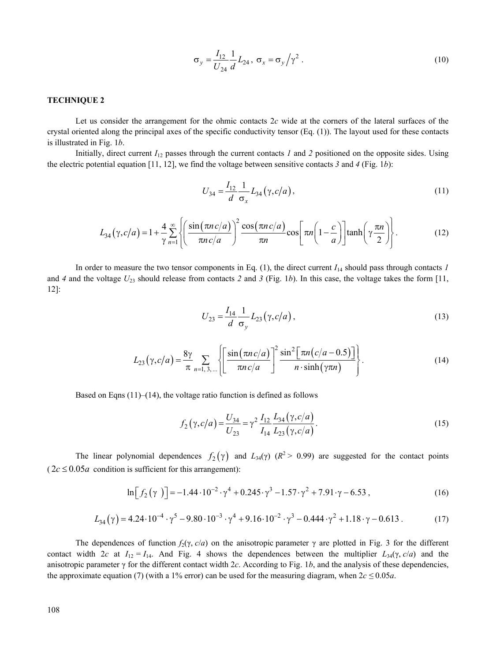$$
\sigma_y = \frac{I_{12}}{U_{24}} \frac{1}{d} L_{24}, \ \sigma_x = \sigma_y / \gamma^2 \ . \tag{10}
$$

# **TECHNIQUE 2**

Let us consider the arrangement for the ohmic contacts 2*c* wide at the corners of the lateral surfaces of the crystal oriented along the principal axes of the specific conductivity tensor (Eq. (1)). The layout used for these contacts is illustrated in Fig. 1*b*.

Initially, direct current  $I_{12}$  passes through the current contacts *1* and *2* positioned on the opposite sides. Using the electric potential equation [11, 12], we find the voltage between sensitive contacts *3* and *4* (Fig. 1*b*):

$$
U_{34} = \frac{I_{12}}{d} \frac{1}{\sigma_x} L_{34} (\gamma, c/a), \qquad (11)
$$

$$
L_{34}(\gamma, c/a) = 1 + \frac{4}{\gamma} \sum_{n=1}^{\infty} \left\{ \left( \frac{\sin(\pi n c/a)}{\pi n c/a} \right)^2 \frac{\cos(\pi n c/a)}{\pi n} \cos \left[ \pi n \left( 1 - \frac{c}{a} \right) \right] \tanh \left( \gamma \frac{\pi n}{2} \right) \right\}.
$$
 (12)

In order to measure the two tensor components in Eq.  $(1)$ , the direct current  $I_{14}$  should pass through contacts *1* and *4* and the voltage  $U_{23}$  should release from contacts 2 and 3 (Fig. 1b). In this case, the voltage takes the form [11, 12]:

$$
U_{23} = \frac{I_{14}}{d} \frac{1}{\sigma_y} L_{23} (\gamma, c/a), \qquad (13)
$$

$$
L_{23}(\gamma, c/a) = \frac{8\gamma}{\pi} \sum_{n=1,3,\dots} \left\{ \left[ \frac{\sin(\pi n c/a)}{\pi n c/a} \right]^2 \frac{\sin^2[\pi n (c/a - 0.5)]}{n \cdot \sinh(\gamma \pi n)} \right\}.
$$
 (14)

Based on Eqns  $(11)$ – $(14)$ , the voltage ratio function is defined as follows

$$
f_2(\gamma, c/a) = \frac{U_{34}}{U_{23}} = \gamma^2 \frac{I_{12}}{I_{14}} \frac{L_{34}(\gamma, c/a)}{L_{23}(\gamma, c/a)}.
$$
 (15)

The linear polynomial dependences  $f_2(\gamma)$  and  $L_{34}(\gamma)$  ( $R^2 > 0.99$ ) are suggested for the contact points  $(2c \le 0.05a$  condition is sufficient for this arrangement):

$$
\ln[f_2(\gamma)] = -1.44 \cdot 10^{-2} \cdot \gamma^4 + 0.245 \cdot \gamma^3 - 1.57 \cdot \gamma^2 + 7.91 \cdot \gamma - 6.53,
$$
 (16)

$$
L_{34}(\gamma) = 4.24 \cdot 10^{-4} \cdot \gamma^5 - 9.80 \cdot 10^{-3} \cdot \gamma^4 + 9.16 \cdot 10^{-2} \cdot \gamma^3 - 0.444 \cdot \gamma^2 + 1.18 \cdot \gamma - 0.613
$$
 (17)

The dependences of function  $f_2(\gamma, c/a)$  on the anisotropic parameter  $\gamma$  are plotted in Fig. 3 for the different contact width 2*c* at  $I_{12} = I_{14}$ . And Fig. 4 shows the dependences between the multiplier  $L_{34}(\gamma, c/a)$  and the anisotropic parameter  $\gamma$  for the different contact width 2*c*. According to Fig. 1*b*, and the analysis of these dependencies, the approximate equation (7) (with a 1% error) can be used for the measuring diagram, when  $2c \le 0.05a$ .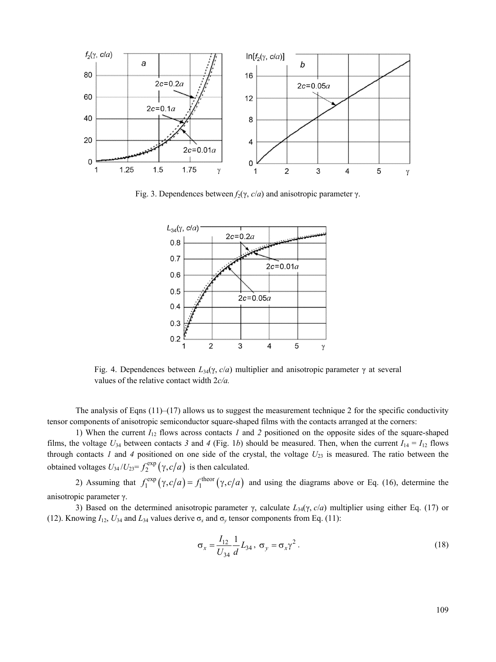

Fig. 3. Dependences between  $f_2$ (γ, *c*/*a*) and anisotropic parameter γ.



Fig. 4. Dependences between  $L_{34}(\gamma, c/a)$  multiplier and anisotropic parameter γ at several values of the relative contact width 2*c/a.*

The analysis of Eqns  $(11)$ – $(17)$  allows us to suggest the measurement technique 2 for the specific conductivity tensor components of anisotropic semiconductor square-shaped films with the contacts arranged at the corners:

1) When the current *I*12 flows across contacts *1* and *2* positioned on the opposite sides of the square-shaped films, the voltage  $U_{34}$  between contacts 3 and 4 (Fig. 1b) should be measured. Then, when the current  $I_{14} = I_{12}$  flows through contacts *1* and *4* positioned on one side of the crystal, the voltage  $U_{23}$  is measured. The ratio between the obtained voltages  $U_{34}/U_{23} = f_2^{\text{exp}}(\gamma, c/a)$  is then calculated.

2) Assuming that  $f_1^{\text{exp}}(\gamma, c/a) = f_1^{\text{theor}}(\gamma, c/a)$  and using the diagrams above or Eq. (16), determine the anisotropic parameter γ.

3) Based on the determined anisotropic parameter γ, calculate *L*34(γ, *c*/*a*) multiplier using either Eq. (17) or (12). Knowing  $I_{12}$ ,  $U_{34}$  and  $L_{34}$  values derive  $\sigma_x$  and  $\sigma_y$  tensor components from Eq. (11):

$$
\sigma_x = \frac{I_{12}}{U_{34}} \frac{1}{d} L_{34}, \ \sigma_y = \sigma_x \gamma^2 \,. \tag{18}
$$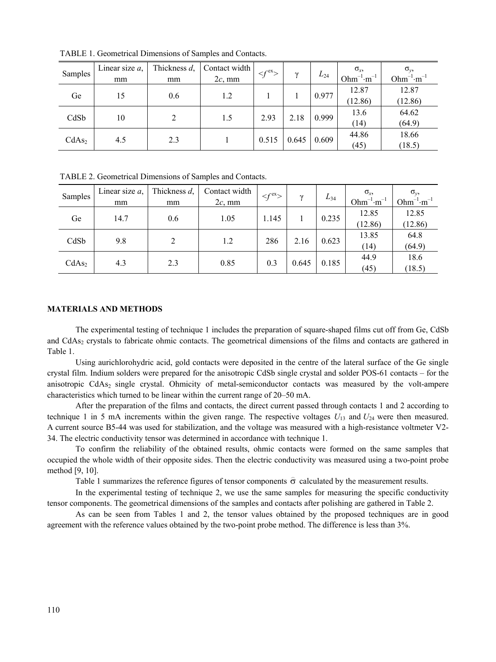| Samples           | Linear size $a$ , | Thickness d, | Contact width | $\leq f^{\text{ex}}$ | $\gamma$ | $L_{24}$ | $\sigma_{x}$      | $\sigma_{v}$      |
|-------------------|-------------------|--------------|---------------|----------------------|----------|----------|-------------------|-------------------|
|                   | mm                | mm           | $2c$ , mm     |                      |          |          | $Ohm^{-1}·m^{-1}$ | $Ohm^{-1}·m^{-1}$ |
| Ge                | 15                | 0.6          | 1.2           |                      |          | 0.977    | 12.87             | 12.87             |
|                   |                   |              |               |                      |          |          | (12.86)           | (12.86)           |
| CdSb              | 10                |              | 1.5           | 2.93                 | 2.18     | 0.999    | 13.6              | 64.62             |
|                   |                   |              |               |                      |          |          | (14)              | (64.9)            |
| CdAs <sub>2</sub> | 4.5               | 2.3          |               | 0.515                | 0.645    | 0.609    | 44.86             | 18.66             |
|                   |                   |              |               |                      |          |          | (45)              | (18.5)            |

TABLE 1. Geometrical Dimensions of Samples and Contacts.

TABLE 2. Geometrical Dimensions of Samples and Contacts.

| Samples           | Linear size $a$ ,<br>mm | Thickness d,<br>mm | Contact width<br>$2c$ , mm | $\prec f^{\text{ex}}$ | $\mathbf v$ | $L_{34}$ | $\sigma_{x}$<br>$Ohm^{-1}·m^{-1}$ | $\sigma_{\nu}$<br>$Ohm^{-1}·m^{-1}$ |
|-------------------|-------------------------|--------------------|----------------------------|-----------------------|-------------|----------|-----------------------------------|-------------------------------------|
| Ge                | 14.7                    | 0.6                | 1.05                       | 1.145                 |             | 0.235    | 12.85<br>(12.86)                  | 12.85<br>(12.86)                    |
| CdSb              | 9.8                     | 2                  | 1.2                        | 286                   | 2.16        | 0.623    | 13.85<br>(14)                     | 64.8<br>(64.9)                      |
| CdAs <sub>2</sub> | 4.3                     | 2.3                | 0.85                       | 0.3                   | 0.645       | 0.185    | 44.9<br>(45)                      | 18.6<br>(18.5)                      |

# **MATERIALS AND METHODS**

The experimental testing of technique 1 includes the preparation of square-shaped films cut off from Ge, CdSb and CdAs<sub>2</sub> crystals to fabricate ohmic contacts. The geometrical dimensions of the films and contacts are gathered in Table 1.

Using aurichlorohydric acid, gold contacts were deposited in the centre of the lateral surface of the Ge single crystal film. Indium solders were prepared for the anisotropic CdSb single crystal and solder POS-61 contacts – for the anisotropic CdAs<sub>2</sub> single crystal. Ohmicity of metal-semiconductor contacts was measured by the volt-ampere characteristics which turned to be linear within the current range of 20–50 mА.

After the preparation of the films and contacts, the direct current passed through contacts 1 and 2 according to technique 1 in 5 mA increments within the given range. The respective voltages  $U_{13}$  and  $U_{24}$  were then measured. A current source B5-44 was used for stabilization, and the voltage was measured with a high-resistance voltmeter V2- 34. The electric conductivity tensor was determined in accordance with technique 1.

To confirm the reliability of the obtained results, ohmic contacts were formed on the same samples that occupied the whole width of their opposite sides. Then the electric conductivity was measured using a two-point probe method [9, 10].

[9, 10].<br>Table 1 summarizes the reference figures of tensor components  $\hat{\sigma}$  calculated by the measurement results.

In the experimental testing of technique 2, we use the same samples for measuring the specific conductivity tensor components. The geometrical dimensions of the samples and contacts after polishing are gathered in Table 2.

As can be seen from Tables 1 and 2, the tensor values obtained by the proposed techniques are in good agreement with the reference values obtained by the two-point probe method. The difference is less than 3%.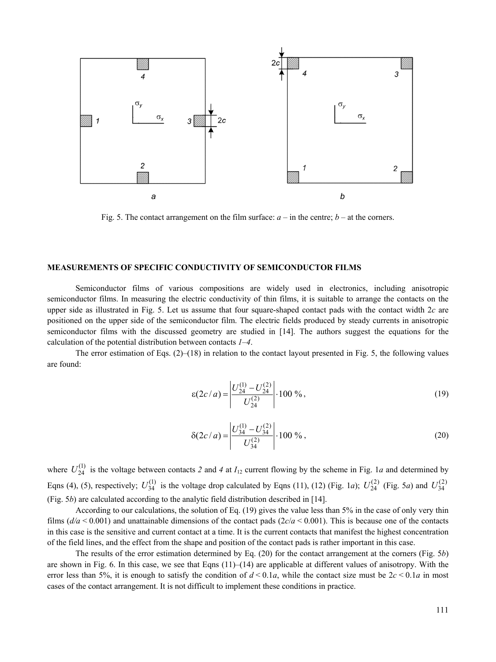

Fig. 5. The contact arrangement on the film surface:  $a -$  in the centre;  $b -$  at the corners.

#### **MEASUREMENTS OF SPECIFIC CONDUCTIVITY OF SEMICONDUCTOR FILMS**

Semiconductor films of various compositions are widely used in electronics, including anisotropic semiconductor films. In measuring the electric conductivity of thin films, it is suitable to arrange the contacts on the upper side as illustrated in Fig. 5. Let us assume that four square-shaped contact pads with the contact width 2*c* are positioned on the upper side of the semiconductor film. The electric fields produced by steady currents in anisotropic semiconductor films with the discussed geometry are studied in [14]. The authors suggest the equations for the calculation of the potential distribution between contacts *1*–*4*.

The error estimation of Eqs.  $(2)$ –(18) in relation to the contact layout presented in Fig. 5, the following values are found:

$$
\varepsilon(2c/a) = \left| \frac{U_{24}^{(1)} - U_{24}^{(2)}}{U_{24}^{(2)}} \right| \cdot 100\%,\tag{19}
$$

$$
\delta(2c/a) = \left| \frac{U_{34}^{(1)} - U_{34}^{(2)}}{U_{34}^{(2)}} \right| \cdot 100\% \,, \tag{20}
$$

where  $U_{24}^{(1)}$  is the voltage between contacts 2 and 4 at  $I_{12}$  current flowing by the scheme in Fig. 1*a* and determined by Eqns (4), (5), respectively;  $U_{34}^{(1)}$  is the voltage drop calculated by Eqns (11), (12) (Fig. 1*a*);  $U_{24}^{(2)}$  (Fig. 5*a*) and  $U_{34}^{(2)}$ (Fig. 5*b*) are calculated according to the analytic field distribution described in [14].

According to our calculations, the solution of Eq. (19) gives the value less than 5% in the case of only very thin films ( $d/a < 0.001$ ) and unattainable dimensions of the contact pads ( $2c/a < 0.001$ ). This is because one of the contacts in this case is the sensitive and current contact at a time. It is the current contacts that manifest the highest concentration of the field lines, and the effect from the shape and position of the contact pads is rather important in this case.

The results of the error estimation determined by Eq. (20) for the contact arrangement at the corners (Fig. 5*b*) are shown in Fig. 6. In this case, we see that Eqns  $(11)$ – $(14)$  are applicable at different values of anisotropy. With the error less than 5%, it is enough to satisfy the condition of  $d < 0.1a$ , while the contact size must be  $2c < 0.1a$  in most cases of the contact arrangement. It is not difficult to implement these conditions in practice.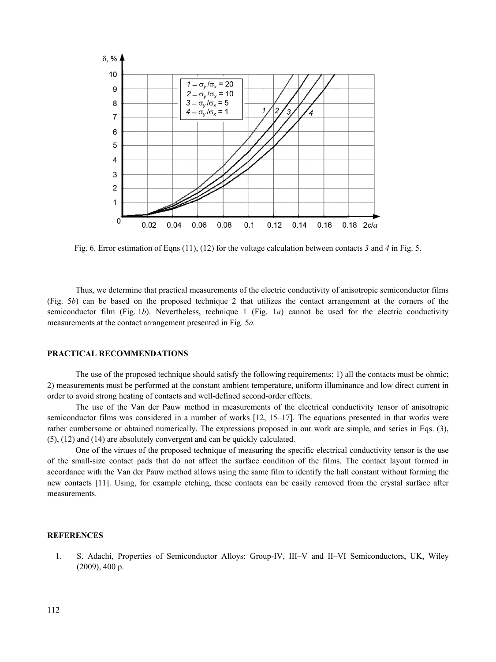

Fig. 6. Error estimation of Eqns (11), (12) for the voltage calculation between contacts *3* and *4* in Fig. 5.

Thus, we determine that practical measurements of the electric conductivity of anisotropic semiconductor films (Fig. 5*b*) can be based on the proposed technique 2 that utilizes the contact arrangement at the corners of the semiconductor film (Fig. 1*b*). Nevertheless, technique 1 (Fig. 1*a*) cannot be used for the electric conductivity measurements at the contact arrangement presented in Fig. 5*a.*

### **PRACTICAL RECOMMENDATIONS**

The use of the proposed technique should satisfy the following requirements: 1) all the contacts must be ohmic; 2) measurements must be performed at the constant ambient temperature, uniform illuminance and low direct current in order to avoid strong heating of contacts and well-defined second-order effects.

The use of the Van der Pauw method in measurements of the electrical conductivity tensor of anisotropic semiconductor films was considered in a number of works [12, 15–17]. The equations presented in that works were rather cumbersome or obtained numerically. The expressions proposed in our work are simple, and series in Eqs. (3), (5), (12) and (14) are absolutely convergent and can be quickly calculated.

One of the virtues of the proposed technique of measuring the specific electrical conductivity tensor is the use of the small-size contact pads that do not affect the surface condition of the films. The contact layout formed in accordance with the Van der Pauw method allows using the same film to identify the hall constant without forming the new contacts [11]. Using, for example etching, these contacts can be easily removed from the crystal surface after measurements.

# **REFERENCES**

1. S. Adachi, Properties of Semiconductor Alloys: Group-IV, III–V and II–VI Semiconductors, UK, Wiley (2009), 400 p.